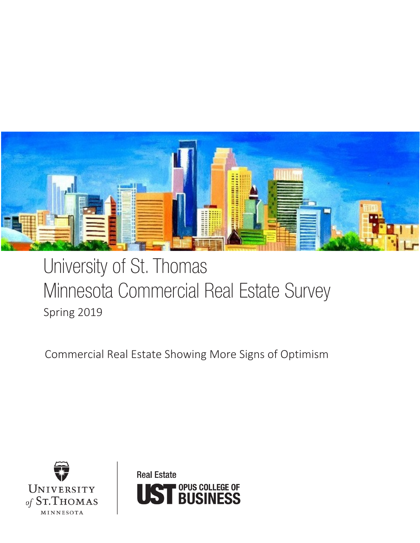

# University of St. Thomas Minnesota Commercial Real Estate Survey Spring 2019

Commercial Real Estate Showing More Signs of Optimism



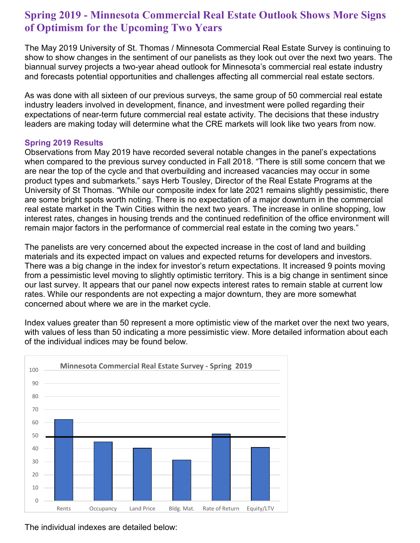# **Spring 2019 - Minnesota Commercial Real Estate Outlook Shows More Signs of Optimism for the Upcoming Two Years**

The May 2019 University of St. Thomas / Minnesota Commercial Real Estate Survey is continuing to show to show changes in the sentiment of our panelists as they look out over the next two years. The biannual survey projects a two-year ahead outlook for Minnesota's commercial real estate industry and forecasts potential opportunities and challenges affecting all commercial real estate sectors.

As was done with all sixteen of our previous surveys, the same group of 50 commercial real estate industry leaders involved in development, finance, and investment were polled regarding their expectations of near-term future commercial real estate activity. The decisions that these industry leaders are making today will determine what the CRE markets will look like two years from now.

#### **Spring 2019 Results**

Observations from May 2019 have recorded several notable changes in the panel's expectations when compared to the previous survey conducted in Fall 2018. "There is still some concern that we are near the top of the cycle and that overbuilding and increased vacancies may occur in some product types and submarkets." says Herb Tousley, Director of the Real Estate Programs at the University of St Thomas. "While our composite index for late 2021 remains slightly pessimistic, there are some bright spots worth noting. There is no expectation of a major downturn in the commercial real estate market in the Twin Cities within the next two years. The increase in online shopping, low interest rates, changes in housing trends and the continued redefinition of the office environment will remain major factors in the performance of commercial real estate in the coming two years."

The panelists are very concerned about the expected increase in the cost of land and building materials and its expected impact on values and expected returns for developers and investors. There was a big change in the index for investor's return expectations. It increased 9 points moving from a pessimistic level moving to slightly optimistic territory. This is a big change in sentiment since our last survey. It appears that our panel now expects interest rates to remain stable at current low rates. While our respondents are not expecting a major downturn, they are more somewhat concerned about where we are in the market cycle.

Index values greater than 50 represent a more optimistic view of the market over the next two years, with values of less than 50 indicating a more pessimistic view. More detailed information about each of the individual indices may be found below.



The individual indexes are detailed below: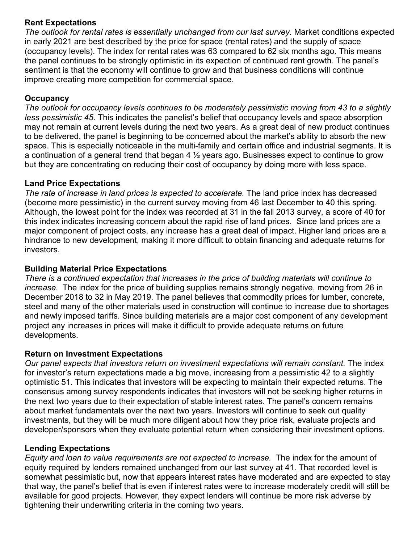#### **Rent Expectations**

*The outlook for rental rates is essentially unchanged from our last survey.* Market conditions expected in early 2021 are best described by the price for space (rental rates) and the supply of space (occupancy levels). The index for rental rates was 63 compared to 62 six months ago. This means the panel continues to be strongly optimistic in its expection of continued rent growth. The panel's sentiment is that the economy will continue to grow and that business conditions will continue improve creating more competition for commercial space.

## **Occupancy**

*The outlook for occupancy levels continues to be moderately pessimistic moving from 43 to a slightly less pessimistic 45*. This indicates the panelist's belief that occupancy levels and space absorption may not remain at current levels during the next two years. As a great deal of new product continues to be delivered, the panel is beginning to be concerned about the market's ability to absorb the new space. This is especially noticeable in the multi-family and certain office and industrial segments. It is a continuation of a general trend that began 4  $\frac{1}{2}$  years ago. Businesses expect to continue to grow but they are concentrating on reducing their cost of occupancy by doing more with less space.

## **Land Price Expectations**

*The rate of increase in land prices is expected to accelerate.* The land price index has decreased (become more pessimistic) in the current survey moving from 46 last December to 40 this spring. Although, the lowest point for the index was recorded at 31 in the fall 2013 survey, a score of 40 for this index indicates increasing concern about the rapid rise of land prices. Since land prices are a major component of project costs, any increase has a great deal of impact. Higher land prices are a hindrance to new development, making it more difficult to obtain financing and adequate returns for investors.

#### **Building Material Price Expectations**

*There is a continued expectation that increases in the price of building materials will continue to increase.* The index for the price of building supplies remains strongly negative, moving from 26 in December 2018 to 32 in May 2019. The panel believes that commodity prices for lumber, concrete, steel and many of the other materials used in construction will continue to increase due to shortages and newly imposed tariffs. Since building materials are a major cost component of any development project any increases in prices will make it difficult to provide adequate returns on future developments.

#### **Return on Investment Expectations**

*Our panel expects that investors return on investment expectations will remain constant.* The index for investor's return expectations made a big move, increasing from a pessimistic 42 to a slightly optimistic 51. This indicates that investors will be expecting to maintain their expected returns. The consensus among survey respondents indicates that investors will not be seeking higher returns in the next two years due to their expectation of stable interest rates. The panel's concern remains about market fundamentals over the next two years. Investors will continue to seek out quality investments, but they will be much more diligent about how they price risk, evaluate projects and developer/sponsors when they evaluate potential return when considering their investment options.

#### **Lending Expectations**

*Equity and loan to value requirements are not expected to increase.* The index for the amount of equity required by lenders remained unchanged from our last survey at 41. That recorded level is somewhat pessimistic but, now that appears interest rates have moderated and are expected to stay that way, the panel's belief that is even if interest rates were to increase moderately credit will still be available for good projects. However, they expect lenders will continue be more risk adverse by tightening their underwriting criteria in the coming two years.